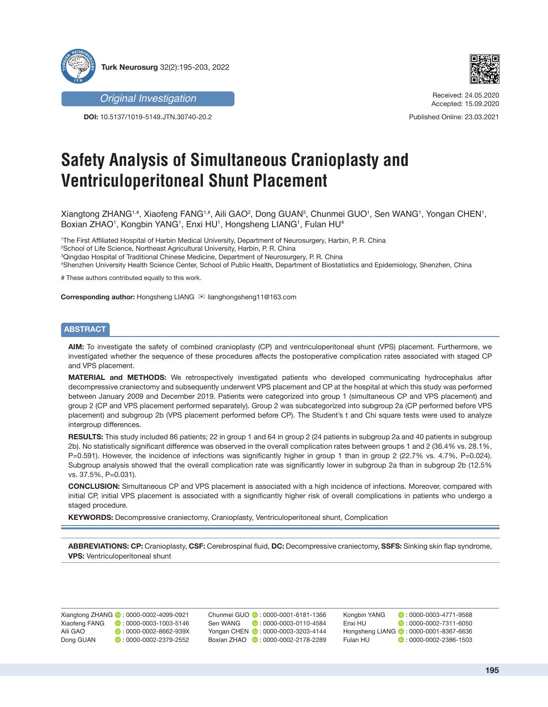



**DOI:** 10.5137/1019-5149.JTN.30740-20.2



Received: 24.05.2020 Accepted: 15.09.2020

Published Online: 23.03.2021

# **Safety Analysis of Simultaneous Cranioplasty and Ventriculoperitoneal Shunt Placement**

Xiangtong ZHANG1#, Xiaofeng FANG1#, Aili GAO<sup>2</sup>, Dong GUAN<sup>3</sup>, Chunmei GUO1, Sen WANG1, Yongan CHEN1, Boxian ZHAO1, Kongbin YANG1, Enxi HU1, Hongsheng LIANG1, Fulan HU4

 The First Affiliated Hospital of Harbin Medical University, Department of Neurosurgery, Harbin, P. R. China School of Life Science, Northeast Agricultural University, Harbin, P. R. China Qingdao Hospital of Traditional Chinese Medicine, Department of Neurosurgery, P. R. China Shenzhen University Health Science Center, School of Public Health, Department of Biostatistics and Epidemiology, Shenzhen, China

# These authors contributed equally to this work.

**Corresponding author:** Hongsheng LIANG <sup>⊠</sup> lianghongsheng11@163.com

## **ABSTRACT**

**AIM:** To investigate the safety of combined cranioplasty (CP) and ventriculoperitoneal shunt (VPS) placement. Furthermore, we investigated whether the sequence of these procedures affects the postoperative complication rates associated with staged CP and VPS placement.

**MATERIAL and METHODS:** We retrospectively investigated patients who developed communicating hydrocephalus after decompressive craniectomy and subsequently underwent VPS placement and CP at the hospital at which this study was performed between January 2009 and December 2019. Patients were categorized into group 1 (simultaneous CP and VPS placement) and group 2 (CP and VPS placement performed separately). Group 2 was subcategorized into subgroup 2a (CP performed before VPS placement) and subgroup 2b (VPS placement performed before CP). The Student's t and Chi square tests were used to analyze intergroup differences.

**RESULTS:** This study included 86 patients; 22 in group 1 and 64 in group 2 (24 patients in subgroup 2a and 40 patients in subgroup 2b). No statistically significant difference was observed in the overall complication rates between groups 1 and 2 (36.4% vs. 28.1%, P=0.591). However, the incidence of infections was significantly higher in group 1 than in group 2 (22.7% vs. 4.7%, P=0.024). Subgroup analysis showed that the overall complication rate was significantly lower in subgroup 2a than in subgroup 2b (12.5% vs. 37.5%, P=0.031).

**CONCLUSION:** Simultaneous CP and VPS placement is associated with a high incidence of infections. Moreover, compared with initial CP, initial VPS placement is associated with a significantly higher risk of overall complications in patients who undergo a staged procedure.

**KEYWORDS:** Decompressive craniectomy, Cranioplasty, Ventriculoperitoneal shunt, Complication

**ABBREVIATIONS: CP:** Cranioplasty, **CSF:** Cerebrospinal fluid, **DC:** Decompressive craniectomy, **SSFS:** Sinking skin flap syndrome, **VPS:** Ventriculoperitoneal shunt

|               | Xiangtong ZHANG (D: 0000-0002-4099-0921 |
|---------------|-----------------------------------------|
| Xiaofeng FANG | $\bullet$ : 0000-0003-1003-5146         |
| Aili GAO      | $\bullet$ : 0000-0002-8662-939X         |
| Dong GUAN     | $\bullet$ : 0000-0002-2379-2552         |

Chunmei GUO **:** 0000-0001-6181-1366 Sen WANG **:** 0000-0003-0110-4584 Yongan CHEN **0**: 0000-0003-3203-4144 Boxian ZHAO **:** 0000-0002-2178-2289

Kongbin YANG **:** 0000-0003-4771-9568 Enxi HU **:** 0000-0002-7311-6050 Hongsheng LIANG **:** 0000-0001-8367-6636 Fulan HU : 0000-0002-2386-1503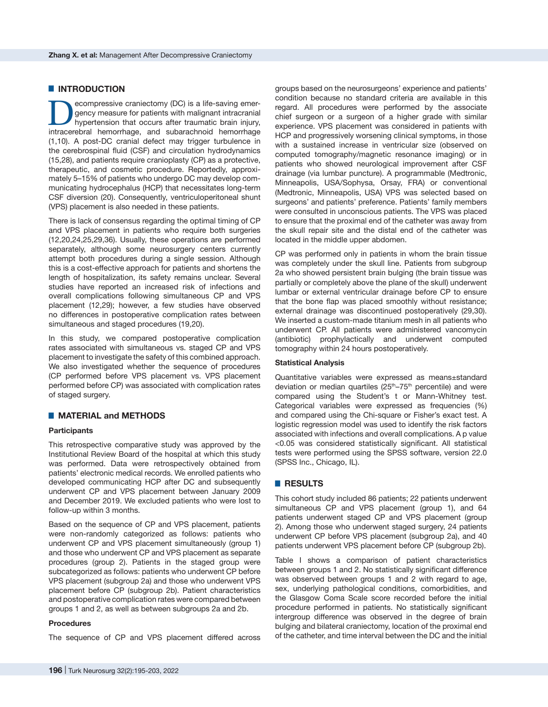# $\blacksquare$  **INTRODUCTION**

**DECOMPRESSIVE COMPRESSIVE COMPRESSIVE COMPRESSIVE CONSUMING A SUPERIOR**<br>Interacreasure for patients with malignant intracranial<br>Intracreasing hemorrhane and subarachooid hemorrhane gency measure for patients with malignant intracranial hypertension that occurs after traumatic brain injury, intracerebral hemorrhage, and subarachnoid hemorrhage (1,10). A post-DC cranial defect may trigger turbulence in the cerebrospinal fluid (CSF) and circulation hydrodynamics (15,28), and patients require cranioplasty (CP) as a protective, therapeutic, and cosmetic procedure. Reportedly, approximately 5–15% of patients who undergo DC may develop communicating hydrocephalus (HCP) that necessitates long-term CSF diversion (20). Consequently, ventriculoperitoneal shunt (VPS) placement is also needed in these patients.

There is lack of consensus regarding the optimal timing of CP and VPS placement in patients who require both surgeries (12,20,24,25,29,36). Usually, these operations are performed separately, although some neurosurgery centers currently attempt both procedures during a single session. Although this is a cost-effective approach for patients and shortens the length of hospitalization, its safety remains unclear. Several studies have reported an increased risk of infections and overall complications following simultaneous CP and VPS placement (12,29); however, a few studies have observed no differences in postoperative complication rates between simultaneous and staged procedures (19,20).

In this study, we compared postoperative complication rates associated with simultaneous vs. staged CP and VPS placement to investigate the safety of this combined approach. We also investigated whether the sequence of procedures (CP performed before VPS placement vs. VPS placement performed before CP) was associated with complication rates of staged surgery.

## █ **MATERIAL and METHODS**

#### **Participants**

This retrospective comparative study was approved by the Institutional Review Board of the hospital at which this study was performed. Data were retrospectively obtained from patients' electronic medical records. We enrolled patients who developed communicating HCP after DC and subsequently underwent CP and VPS placement between January 2009 and December 2019. We excluded patients who were lost to follow-up within 3 months.

Based on the sequence of CP and VPS placement, patients were non-randomly categorized as follows: patients who underwent CP and VPS placement simultaneously (group 1) and those who underwent CP and VPS placement as separate procedures (group 2). Patients in the staged group were subcategorized as follows: patients who underwent CP before VPS placement (subgroup 2a) and those who underwent VPS placement before CP (subgroup 2b). Patient characteristics and postoperative complication rates were compared between groups 1 and 2, as well as between subgroups 2a and 2b.

#### **Procedures**

The sequence of CP and VPS placement differed across

groups based on the neurosurgeons' experience and patients' condition because no standard criteria are available in this regard. All procedures were performed by the associate chief surgeon or a surgeon of a higher grade with similar experience. VPS placement was considered in patients with HCP and progressively worsening clinical symptoms, in those with a sustained increase in ventricular size (observed on computed tomography/magnetic resonance imaging) or in patients who showed neurological improvement after CSF drainage (via lumbar puncture). A programmable (Medtronic, Minneapolis, USA/Sophysa, Orsay, FRA) or conventional (Medtronic, Minneapolis, USA) VPS was selected based on surgeons' and patients' preference. Patients' family members were consulted in unconscious patients. The VPS was placed to ensure that the proximal end of the catheter was away from the skull repair site and the distal end of the catheter was located in the middle upper abdomen.

CP was performed only in patients in whom the brain tissue was completely under the skull line. Patients from subgroup 2a who showed persistent brain bulging (the brain tissue was partially or completely above the plane of the skull) underwent lumbar or external ventricular drainage before CP to ensure that the bone flap was placed smoothly without resistance; external drainage was discontinued postoperatively (29,30). We inserted a custom-made titanium mesh in all patients who underwent CP. All patients were administered vancomycin (antibiotic) prophylactically and underwent computed tomography within 24 hours postoperatively.

#### **Statistical Analysis**

Quantitative variables were expressed as means±standard deviation or median quartiles  $(25<sup>th</sup>-75<sup>th</sup>$  percentile) and were compared using the Student's t or Mann-Whitney test. Categorical variables were expressed as frequencies (%) and compared using the Chi-square or Fisher's exact test. A logistic regression model was used to identify the risk factors associated with infections and overall complications. A p value <0.05 was considered statistically significant. All statistical tests were performed using the SPSS software, version 22.0 (SPSS Inc., Chicago, IL).

# █ **RESULTS**

This cohort study included 86 patients; 22 patients underwent simultaneous CP and VPS placement (group 1), and 64 patients underwent staged CP and VPS placement (group 2). Among those who underwent staged surgery, 24 patients underwent CP before VPS placement (subgroup 2a), and 40 patients underwent VPS placement before CP (subgroup 2b).

Table I shows a comparison of patient characteristics between groups 1 and 2. No statistically significant difference was observed between groups 1 and 2 with regard to age, sex, underlying pathological conditions, comorbidities, and the Glasgow Coma Scale score recorded before the initial procedure performed in patients. No statistically significant intergroup difference was observed in the degree of brain bulging and bilateral craniectomy, location of the proximal end of the catheter, and time interval between the DC and the initial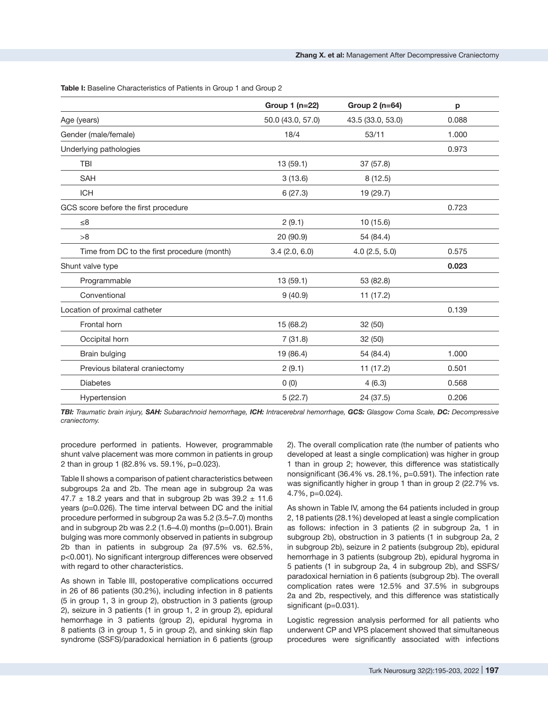**Group 1 (n=22) Group 2 (n=64) p** Age (years) 60.0 (43.0, 57.0) 43.5 (33.0, 53.0) 43.5 (33.0, 53.0) 60.088 Gender (male/female) 18/4 53/11 1.000 Underlying pathologies 0.973 TBI 13 (59.1) 37 (57.8)  $\mathsf{SAH}$  8 (12.5) ICH 6 (27.3) 19 (29.7) GCS score before the first procedure 0.723  $≤8$  2 (9.1) 10 (15.6) >8 20 (90.9) 54 (84.4) Time from DC to the first procedure (month) 3.4 (2.0, 6.0) 4.0 (2.5, 5.0) 0.575 Shunt valve type **0.023** Programmable 13 (59.1) 53 (82.8) Conventional 9 (40.9) 11 (17.2) Location of proximal catheter 0.139 Frontal horn  $32 (50)$ Occipital horn 32 (50) 32 (50) 32 (50) Brain bulging 1.000 (86.4) 54 (84.4) 54 (84.4) 54 (84.4) 54 (84.4) 54 (84.4) 54 (84.4) 54 (54.4) 54 (54.4) 54 ( Previous bilateral craniectomy  $2(9.1)$  11 (17.2) 0.501 Diabetes 0 (0) 4 (6.3) 0.568 Hypertension 5 (22.7) 24 (37.5) 0.206

Table I: Baseline Characteristics of Patients in Group 1 and Group 2

*TBI: Traumatic brain injury, SAH: Subarachnoid hemorrhage, ICH: Intracerebral hemorrhage, GCS: Glasgow Coma Scale, DC: Decompressive craniectomy.*

procedure performed in patients. However, programmable shunt valve placement was more common in patients in group 2 than in group 1 (82.8% vs. 59.1%, p=0.023).

Table II shows a comparison of patient characteristics between subgroups 2a and 2b. The mean age in subgroup 2a was 47.7  $\pm$  18.2 years and that in subgroup 2b was 39.2  $\pm$  11.6 years (p=0.026). The time interval between DC and the initial procedure performed in subgroup 2a was 5.2 (3.5–7.0) months and in subgroup 2b was  $2.2$  (1.6–4.0) months (p=0.001). Brain bulging was more commonly observed in patients in subgroup 2b than in patients in subgroup 2a (97.5% vs. 62.5%, p<0.001). No significant intergroup differences were observed with regard to other characteristics.

As shown in Table III, postoperative complications occurred in 26 of 86 patients (30.2%), including infection in 8 patients (5 in group 1, 3 in group 2), obstruction in 3 patients (group 2), seizure in 3 patients (1 in group 1, 2 in group 2), epidural hemorrhage in 3 patients (group 2), epidural hygroma in 8 patients (3 in group 1, 5 in group 2), and sinking skin flap syndrome (SSFS)/paradoxical herniation in 6 patients (group

2). The overall complication rate (the number of patients who developed at least a single complication) was higher in group 1 than in group 2; however, this difference was statistically nonsignificant (36.4% vs. 28.1%, p=0.591). The infection rate was significantly higher in group 1 than in group 2 (22.7% vs. 4.7%, p=0.024).

As shown in Table IV, among the 64 patients included in group 2, 18 patients (28.1%) developed at least a single complication as follows: infection in 3 patients (2 in subgroup 2a, 1 in subgroup 2b), obstruction in 3 patients (1 in subgroup 2a, 2 in subgroup 2b), seizure in 2 patients (subgroup 2b), epidural hemorrhage in 3 patients (subgroup 2b), epidural hygroma in 5 patients (1 in subgroup 2a, 4 in subgroup 2b), and SSFS/ paradoxical herniation in 6 patients (subgroup 2b). The overall complication rates were 12.5% and 37.5% in subgroups 2a and 2b, respectively, and this difference was statistically significant (p=0.031).

Logistic regression analysis performed for all patients who underwent CP and VPS placement showed that simultaneous procedures were significantly associated with infections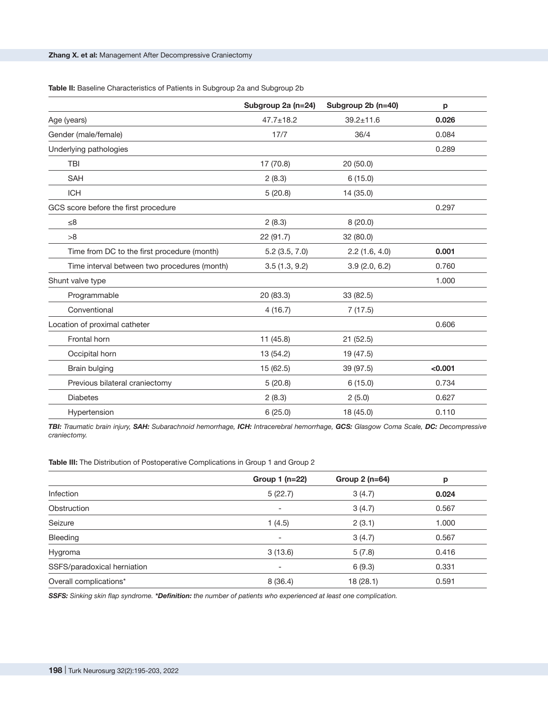Table II: Baseline Characteristics of Patients in Subgroup 2a and Subgroup 2b

|                                              | Subgroup 2a (n=24) | Subgroup 2b (n=40) | р       |
|----------------------------------------------|--------------------|--------------------|---------|
| Age (years)                                  | $47.7 \pm 18.2$    | $39.2 \pm 11.6$    | 0.026   |
| Gender (male/female)                         | 17/7               | 36/4               | 0.084   |
| Underlying pathologies                       |                    |                    | 0.289   |
| <b>TBI</b>                                   | 17 (70.8)          | 20(50.0)           |         |
| <b>SAH</b>                                   | 2(8.3)             | 6(15.0)            |         |
| <b>ICH</b>                                   | 5(20.8)            | 14 (35.0)          |         |
| GCS score before the first procedure         |                    |                    | 0.297   |
| $\leq 8$                                     | 2(8.3)             | 8(20.0)            |         |
| >8                                           | 22 (91.7)          | 32 (80.0)          |         |
| Time from DC to the first procedure (month)  | $5.2$ (3.5, 7.0)   | 2.2(1.6, 4.0)      | 0.001   |
| Time interval between two procedures (month) | 3.5(1.3, 9.2)      | 3.9(2.0, 6.2)      | 0.760   |
| Shunt valve type                             |                    |                    | 1.000   |
| Programmable                                 | 20 (83.3)          | 33 (82.5)          |         |
| Conventional                                 | 4(16.7)            | 7(17.5)            |         |
| Location of proximal catheter                |                    |                    | 0.606   |
| Frontal horn                                 | 11(45.8)           | 21(52.5)           |         |
| Occipital horn                               | 13 (54.2)          | 19 (47.5)          |         |
| Brain bulging                                | 15 (62.5)          | 39 (97.5)          | < 0.001 |
| Previous bilateral craniectomy               | 5(20.8)            | 6(15.0)            | 0.734   |
| <b>Diabetes</b>                              | 2(8.3)             | 2(5.0)             | 0.627   |
| Hypertension                                 | 6(25.0)            | 18 (45.0)          | 0.110   |

*TBI: Traumatic brain injury, SAH: Subarachnoid hemorrhage, ICH: Intracerebral hemorrhage, GCS: Glasgow Coma Scale, DC: Decompressive craniectomy.*

Table III: The Distribution of Postoperative Complications in Group 1 and Group 2

|                             | Group 1 (n=22)           | Group 2 (n=64) | р     |
|-----------------------------|--------------------------|----------------|-------|
| Infection                   | 5(22.7)                  | 3(4.7)         | 0.024 |
| Obstruction                 | $\overline{\phantom{a}}$ | 3(4.7)         | 0.567 |
| Seizure                     | 1(4.5)                   | 2(3.1)         | 1.000 |
| Bleeding                    | $\overline{\phantom{a}}$ | 3(4.7)         | 0.567 |
| Hygroma                     | 3(13.6)                  | 5(7.8)         | 0.416 |
| SSFS/paradoxical herniation | -                        | 6(9.3)         | 0.331 |
| Overall complications*      | 8(36.4)                  | 18(28.1)       | 0.591 |

*SSFS: Sinking skin flap syndrome. \*Definition: the number of patients who experienced at least one complication.*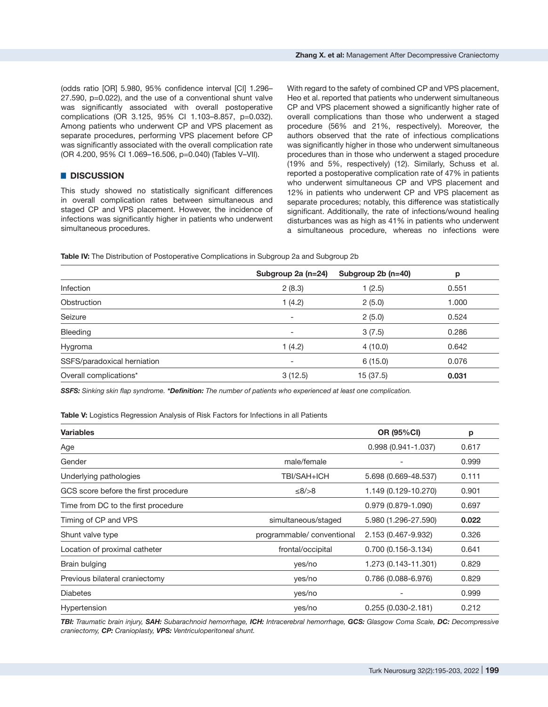(odds ratio [OR] 5.980, 95% confidence interval [CI] 1.296– 27.590, p=0.022), and the use of a conventional shunt valve was significantly associated with overall postoperative complications (OR 3.125, 95% CI 1.103–8.857, p=0.032). Among patients who underwent CP and VPS placement as separate procedures, performing VPS placement before CP was significantly associated with the overall complication rate (OR 4.200, 95% CI 1.069–16.506, p=0.040) (Tables V–VII).

# █ **DISCUSSION**

This study showed no statistically significant differences in overall complication rates between simultaneous and staged CP and VPS placement. However, the incidence of infections was significantly higher in patients who underwent simultaneous procedures.

With regard to the safety of combined CP and VPS placement, Heo et al. reported that patients who underwent simultaneous CP and VPS placement showed a significantly higher rate of overall complications than those who underwent a staged procedure (56% and 21%, respectively). Moreover, the authors observed that the rate of infectious complications was significantly higher in those who underwent simultaneous procedures than in those who underwent a staged procedure (19% and 5%, respectively) (12). Similarly, Schuss et al. reported a postoperative complication rate of 47% in patients who underwent simultaneous CP and VPS placement and 12% in patients who underwent CP and VPS placement as separate procedures; notably, this difference was statistically significant. Additionally, the rate of infections/wound healing disturbances was as high as 41% in patients who underwent a simultaneous procedure, whereas no infections were

**Table IV:** The Distribution of Postoperative Complications in Subgroup 2a and Subgroup 2b

|                             | Subgroup 2a (n=24)       | Subgroup $2b$ (n=40) | p     |
|-----------------------------|--------------------------|----------------------|-------|
| Infection                   | 2(8.3)                   | 1(2.5)               | 0.551 |
| Obstruction                 | 1(4.2)                   | 2(5.0)               | 1.000 |
| Seizure                     | $\overline{\phantom{a}}$ | 2(5.0)               | 0.524 |
| Bleeding                    | $\overline{\phantom{a}}$ | 3(7.5)               | 0.286 |
| Hygroma                     | 1(4.2)                   | 4(10.0)              | 0.642 |
| SSFS/paradoxical herniation | $\overline{\phantom{0}}$ | 6(15.0)              | 0.076 |
| Overall complications*      | 3(12.5)                  | 15 (37.5)            | 0.031 |

*SSFS: Sinking skin flap syndrome. \*Definition: The number of patients who experienced at least one complication.*

**Table V:** Logistics Regression Analysis of Risk Factors for Infections in all Patients

| <b>Variables</b>                     |                           | <b>OR (95%CI)</b>      | p     |
|--------------------------------------|---------------------------|------------------------|-------|
| Age                                  |                           | $0.998(0.941 - 1.037)$ | 0.617 |
| Gender                               | male/female               |                        | 0.999 |
| Underlying pathologies               | TBI/SAH+ICH               | 5.698 (0.669-48.537)   | 0.111 |
| GCS score before the first procedure | $≤8/>8$                   | 1.149 (0.129-10.270)   | 0.901 |
| Time from DC to the first procedure  |                           | 0.979 (0.879-1.090)    | 0.697 |
| Timing of CP and VPS                 | simultaneous/staged       | 5.980 (1.296-27.590)   | 0.022 |
| Shunt valve type                     | programmable/conventional | 2.153 (0.467-9.932)    | 0.326 |
| Location of proximal catheter        | frontal/occipital         | 0.700 (0.156-3.134)    | 0.641 |
| Brain bulging                        | yes/no                    | 1.273 (0.143-11.301)   | 0.829 |
| Previous bilateral craniectomy       | yes/no                    | 0.786 (0.088-6.976)    | 0.829 |
| <b>Diabetes</b>                      | yes/no                    |                        | 0.999 |
| Hypertension                         | yes/no                    | $0.255(0.030 - 2.181)$ | 0.212 |

*TBI: Traumatic brain injury, SAH: Subarachnoid hemorrhage, ICH: Intracerebral hemorrhage, GCS: Glasgow Coma Scale, DC: Decompressive craniectomy, CP: Cranioplasty, VPS: Ventriculoperitoneal shunt.*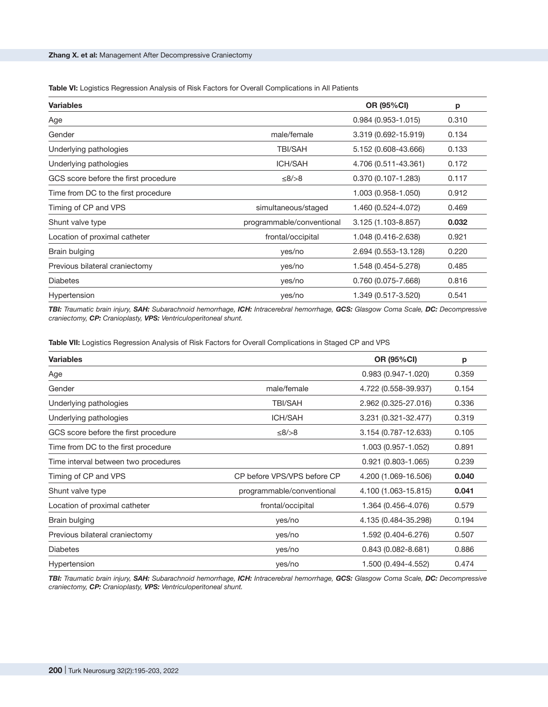#### **Table VI:** Logistics Regression Analysis of Risk Factors for Overall Complications in All Patients

| <b>Variables</b>                     |                           | <b>OR (95%CI)</b>      | p     |
|--------------------------------------|---------------------------|------------------------|-------|
| Age                                  |                           | $0.984(0.953 - 1.015)$ | 0.310 |
| Gender                               | male/female               | 3.319 (0.692-15.919)   | 0.134 |
| Underlying pathologies               | <b>TBI/SAH</b>            | 5.152 (0.608-43.666)   | 0.133 |
| Underlying pathologies               | <b>ICH/SAH</b>            | 4.706 (0.511-43.361)   | 0.172 |
| GCS score before the first procedure | $≤8/>8$                   | $0.370(0.107 - 1.283)$ | 0.117 |
| Time from DC to the first procedure  |                           | 1.003 (0.958-1.050)    | 0.912 |
| Timing of CP and VPS                 | simultaneous/staged       | 1.460 (0.524-4.072)    | 0.469 |
| Shunt valve type                     | programmable/conventional | 3.125 (1.103-8.857)    | 0.032 |
| Location of proximal catheter        | frontal/occipital         | 1.048 (0.416-2.638)    | 0.921 |
| Brain bulging                        | yes/no                    | 2.694 (0.553-13.128)   | 0.220 |
| Previous bilateral craniectomy       | yes/no                    | 1.548 (0.454-5.278)    | 0.485 |
| <b>Diabetes</b>                      | yes/no                    | 0.760 (0.075-7.668)    | 0.816 |
| Hypertension                         | yes/no                    | 1.349 (0.517-3.520)    | 0.541 |

*TBI: Traumatic brain injury, SAH: Subarachnoid hemorrhage, ICH: Intracerebral hemorrhage, GCS: Glasgow Coma Scale, DC: Decompressive craniectomy, CP: Cranioplasty, VPS: Ventriculoperitoneal shunt.*

**Table VII:** Logistics Regression Analysis of Risk Factors for Overall Complications in Staged CP and VPS

| <b>Variables</b>                     |                             | <b>OR (95%CI)</b>      | p     |
|--------------------------------------|-----------------------------|------------------------|-------|
| Age                                  |                             | $0.983(0.947 - 1.020)$ | 0.359 |
| Gender                               | male/female                 | 4.722 (0.558-39.937)   | 0.154 |
| Underlying pathologies               | <b>TBI/SAH</b>              | 2.962 (0.325-27.016)   | 0.336 |
| Underlying pathologies               | <b>ICH/SAH</b>              | 3.231 (0.321-32.477)   | 0.319 |
| GCS score before the first procedure | ≤8/>8                       | 3.154 (0.787-12.633)   | 0.105 |
| Time from DC to the first procedure  |                             | 1.003 (0.957-1.052)    | 0.891 |
| Time interval between two procedures |                             | $0.921(0.803 - 1.065)$ | 0.239 |
| Timing of CP and VPS                 | CP before VPS/VPS before CP | 4.200 (1.069-16.506)   | 0.040 |
| Shunt valve type                     | programmable/conventional   | 4.100 (1.063-15.815)   | 0.041 |
| Location of proximal catheter        | frontal/occipital           | 1.364 (0.456-4.076)    | 0.579 |
| Brain bulging                        | yes/no                      | 4.135 (0.484-35.298)   | 0.194 |
| Previous bilateral craniectomy       | yes/no                      | 1.592 (0.404-6.276)    | 0.507 |
| <b>Diabetes</b>                      | yes/no                      | $0.843(0.082 - 8.681)$ | 0.886 |
| Hypertension                         | yes/no                      | 1.500 (0.494-4.552)    | 0.474 |

*TBI: Traumatic brain injury, SAH: Subarachnoid hemorrhage, ICH: Intracerebral hemorrhage, GCS: Glasgow Coma Scale, DC: Decompressive craniectomy, CP: Cranioplasty, VPS: Ventriculoperitoneal shunt.*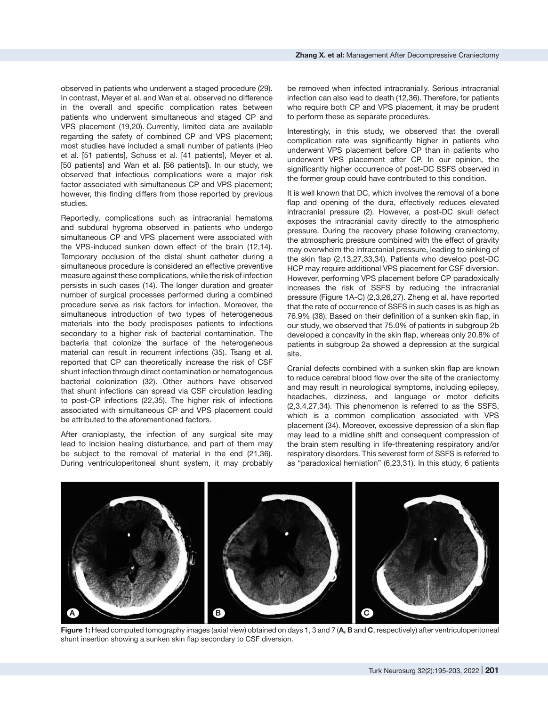observed in patients who underwent a staged procedure (29). In contrast, Meyer et al. and Wan et al. observed no difference in the overall and specific complication rates between patients who underwent simultaneous and staged CP and VPS placement (19,20). Currently, limited data are available regarding the safety of combined CP and VPS placement; most studies have included a small number of patients (Heo et al. [51 patients], Schuss et al. [41 patients], Meyer et al. [50 patients] and Wan et al. [56 patients]). In our study, we

observed that infectious complications were a major risk factor associated with simultaneous CP and VPS placement; however, this finding differs from those reported by previous studies.

Reportedly, complications such as intracranial hematoma and subdural hygroma observed in patients who undergo simultaneous CP and VPS placement were associated with the VPS-induced sunken down effect of the brain (12,14). Temporary occlusion of the distal shunt catheter during a simultaneous procedure is considered an effective preventive measure against these complications, while the risk of infection persists in such cases (14). The longer duration and greater number of surgical processes performed during a combined procedure serve as risk factors for infection. Moreover, the simultaneous introduction of two types of heterogeneous materials into the body predisposes patients to infections secondary to a higher risk of bacterial contamination. The bacteria that colonize the surface of the heterogeneous material can result in recurrent infections (35). Tsang et al. reported that CP can theoretically increase the risk of CSF shunt infection through direct contamination or hematogenous bacterial colonization (32). Other authors have observed that shunt infections can spread via CSF circulation leading to post-CP infections (22,35). The higher risk of infections associated with simultaneous CP and VPS placement could be attributed to the aforementioned factors.

After cranioplasty, the infection of any surgical site may lead to incision healing disturbance, and part of them may be subject to the removal of material in the end (21,36). During ventriculoperitoneal shunt system, it may probably be removed when infected intracranially. Serious intracranial infection can also lead to death (12,36). Therefore, for patients who require both CP and VPS placement, it may be prudent to perform these as separate procedures.

Interestingly, in this study, we observed that the overall complication rate was significantly higher in patients who underwent VPS placement before CP than in patients who underwent VPS placement after CP. In our opinion, the significantly higher occurrence of post-DC SSFS observed in the former group could have contributed to this condition.

It is well known that DC, which involves the removal of a bone flap and opening of the dura, effectively reduces elevated intracranial pressure (2). However, a post-DC skull defect exposes the intracranial cavity directly to the atmospheric pressure. During the recovery phase following craniectomy, the atmospheric pressure combined with the effect of gravity may overwhelm the intracranial pressure, leading to sinking of the skin flap (2,13,27,33,34). Patients who develop post-DC HCP may require additional VPS placement for CSF diversion. However, performing VPS placement before CP paradoxically increases the risk of SSFS by reducing the intracranial pressure (Figure 1A-C) (2,3,26,27). Zheng et al. have reported that the rate of occurrence of SSFS in such cases is as high as 76.9% (38). Based on their definition of a sunken skin flap, in our study, we observed that 75.0% of patients in subgroup 2b developed a concavity in the skin flap, whereas only 20.8% of patients in subgroup 2a showed a depression at the surgical site.

Cranial defects combined with a sunken skin flap are known to reduce cerebral blood flow over the site of the craniectomy and may result in neurological symptoms, including epilepsy, headaches, dizziness, and language or motor deficits (2,3,4,27,34). This phenomenon is referred to as the SSFS, which is a common complication associated with VPS placement (34). Moreover, excessive depression of a skin flap may lead to a midline shift and consequent compression of the brain stem resulting in life-threatening respiratory and/or respiratory disorders. This severest form of SSFS is referred to as "paradoxical herniation" (6,23,31). In this study, 6 patients



**Figure 1:** Head computed tomography images (axial view) obtained on days 1, 3 and 7 (**A, B** and **C**, respectively) after ventriculoperitoneal shunt insertion showing a sunken skin flap secondary to CSF diversion.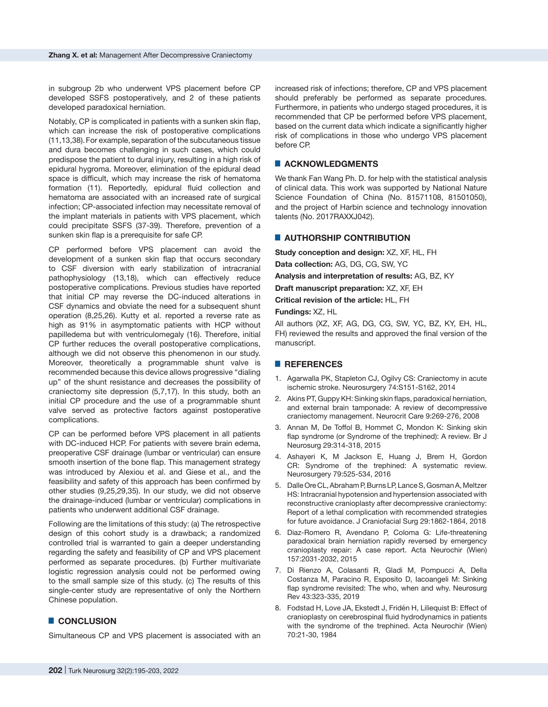in subgroup 2b who underwent VPS placement before CP developed SSFS postoperatively, and 2 of these patients developed paradoxical herniation.

Notably, CP is complicated in patients with a sunken skin flap, which can increase the risk of postoperative complications (11,13,38).For example,separation of the subcutaneous tissue and dura becomes challenging in such cases, which could predispose the patient to dural injury, resulting in a high risk of epidural hygroma. Moreover, elimination of the epidural dead space is difficult, which may increase the risk of hematoma formation (11). Reportedly, epidural fluid collection and hematoma are associated with an increased rate of surgical infection; CP-associated infection may necessitate removal of the implant materials in patients with VPS placement, which could precipitate SSFS (37-39). Therefore, prevention of a sunken skin flap is a prerequisite for safe CP.

CP performed before VPS placement can avoid the development of a sunken skin flap that occurs secondary to CSF diversion with early stabilization of intracranial pathophysiology (13,18), which can effectively reduce postoperative complications. Previous studies have reported that initial CP may reverse the DC-induced alterations in CSF dynamics and obviate the need for a subsequent shunt operation (8,25,26). Kutty et al. reported a reverse rate as high as 91% in asymptomatic patients with HCP without papilledema but with ventriculomegaly (16). Therefore, initial CP further reduces the overall postoperative complications, although we did not observe this phenomenon in our study. Moreover, theoretically a programmable shunt valve is recommended because this device allows progressive ''dialing up'' of the shunt resistance and decreases the possibility of craniectomy site depression (5,7,17). In this study, both an initial CP procedure and the use of a programmable shunt valve served as protective factors against postoperative complications.

CP can be performed before VPS placement in all patients with DC-induced HCP. For patients with severe brain edema, preoperative CSF drainage (lumbar or ventricular) can ensure smooth insertion of the bone flap. This management strategy was introduced by Alexiou et al. and Giese et al., and the feasibility and safety of this approach has been confirmed by other studies (9,25,29,35). In our study, we did not observe the drainage-induced (lumbar or ventricular) complications in patients who underwent additional CSF drainage.

Following are the limitations of this study: (a) The retrospective design of this cohort study is a drawback; a randomized controlled trial is warranted to gain a deeper understanding regarding the safety and feasibility of CP and VPS placement performed as separate procedures. (b) Further multivariate logistic regression analysis could not be performed owing to the small sample size of this study. (c) The results of this single-center study are representative of only the Northern Chinese population.

# █ **CONCLUSION**

Simultaneous CP and VPS placement is associated with an

increased risk of infections; therefore, CP and VPS placement should preferably be performed as separate procedures. Furthermore, in patients who undergo staged procedures, it is recommended that CP be performed before VPS placement, based on the current data which indicate a significantly higher risk of complications in those who undergo VPS placement before CP.

# █ **ACKNOWLEDGMENTS**

We thank Fan Wang Ph. D. for help with the statistical analysis of clinical data. This work was supported by National Nature Science Foundation of China (No. 81571108, 81501050), and the project of Harbin science and technology innovation talents (No. 2017RAXXJ042).

#### █ **AUTHORSHIP CONTRIBUTION**

**Study conception and design:** XZ, XF, HL, FH

**Data collection:** AG, DG, CG, SW, YC

**Analysis and interpretation of results:** AG, BZ, KY

**Draft manuscript preparation:** XZ, XF, EH

**Critical revision of the article:** HL, FH

**Fundings:** XZ, HL

All authors (XZ, XF, AG, DG, CG, SW, YC, BZ, KY, EH, HL, FH) reviewed the results and approved the final version of the manuscript.

## █ **REFERENCES**

- 1. Agarwalla PK, Stapleton CJ, Ogilvy CS: Craniectomy in acute ischemic stroke. Neurosurgery 74:S151-S162, 2014
- 2. Akins PT, Guppy KH: Sinking skin flaps, paradoxical herniation, and external brain tamponade: A review of decompressive craniectomy management. Neurocrit Care 9:269-276, 2008
- 3. Annan M, De Toffol B, Hommet C, Mondon K: Sinking skin flap syndrome (or Syndrome of the trephined): A review. Br J Neurosurg 29:314-318, 2015
- 4. Ashayeri K, M Jackson E, Huang J, Brem H, Gordon CR: Syndrome of the trephined: A systematic review. Neurosurgery 79:525-534, 2016
- 5. Dalle Ore CL, Abraham P, Burns LP, Lance S, Gosman A, Meltzer HS: Intracranial hypotension and hypertension associated with reconstructive cranioplasty after decompressive craniectomy: Report of a lethal complication with recommended strategies for future avoidance. J Craniofacial Surg 29:1862-1864, 2018
- 6. Diaz-Romero R, Avendano P, Coloma G: Life-threatening paradoxical brain herniation rapidly reversed by emergency cranioplasty repair: A case report. Acta Neurochir (Wien) 157:2031-2032, 2015
- 7. Di Rienzo A, Colasanti R, Gladi M, Pompucci A, Della Costanza M, Paracino R, Esposito D, Iacoangeli M: Sinking flap syndrome revisited: The who, when and why. Neurosurg Rev 43:323-335, 2019
- 8. Fodstad H, Love JA, Ekstedt J, Fridén H, Liliequist B: Effect of cranioplasty on cerebrospinal fluid hydrodynamics in patients with the syndrome of the trephined. Acta Neurochir (Wien) 70:21-30, 1984